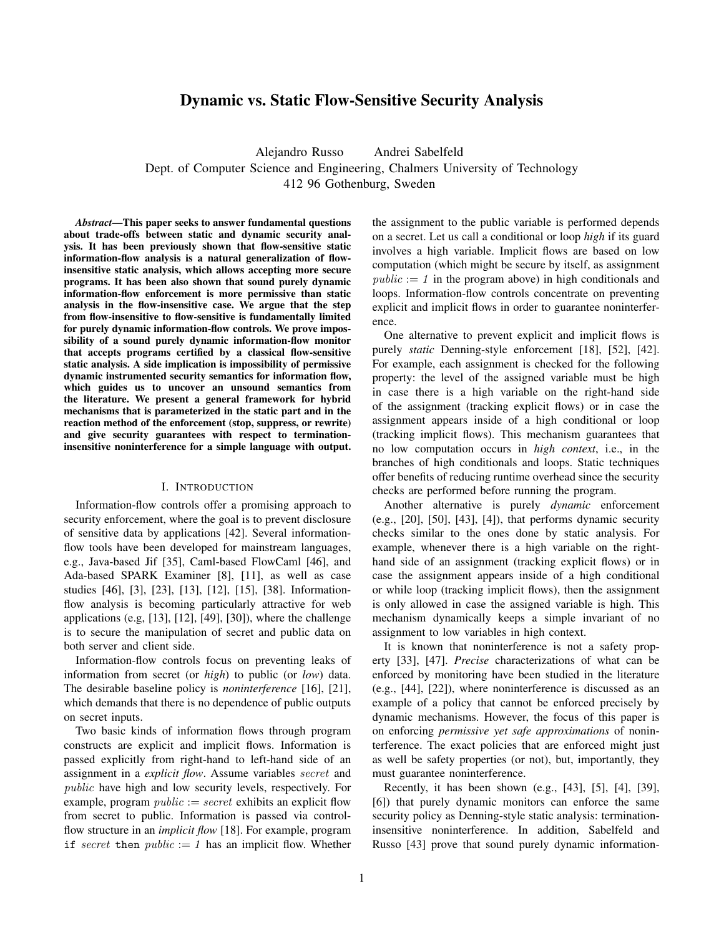# Dynamic vs. Static Flow-Sensitive Security Analysis

Alejandro Russo Andrei Sabelfeld Dept. of Computer Science and Engineering, Chalmers University of Technology 412 96 Gothenburg, Sweden

*Abstract*—This paper seeks to answer fundamental questions about trade-offs between static and dynamic security analysis. It has been previously shown that flow-sensitive static information-flow analysis is a natural generalization of flowinsensitive static analysis, which allows accepting more secure programs. It has been also shown that sound purely dynamic information-flow enforcement is more permissive than static analysis in the flow-insensitive case. We argue that the step from flow-insensitive to flow-sensitive is fundamentally limited for purely dynamic information-flow controls. We prove impossibility of a sound purely dynamic information-flow monitor that accepts programs certified by a classical flow-sensitive static analysis. A side implication is impossibility of permissive dynamic instrumented security semantics for information flow, which guides us to uncover an unsound semantics from the literature. We present a general framework for hybrid mechanisms that is parameterized in the static part and in the reaction method of the enforcement (stop, suppress, or rewrite) and give security guarantees with respect to terminationinsensitive noninterference for a simple language with output.

## I. INTRODUCTION

Information-flow controls offer a promising approach to security enforcement, where the goal is to prevent disclosure of sensitive data by applications [42]. Several informationflow tools have been developed for mainstream languages, e.g., Java-based Jif [35], Caml-based FlowCaml [46], and Ada-based SPARK Examiner [8], [11], as well as case studies [46], [3], [23], [13], [12], [15], [38]. Informationflow analysis is becoming particularly attractive for web applications (e.g, [13], [12], [49], [30]), where the challenge is to secure the manipulation of secret and public data on both server and client side.

Information-flow controls focus on preventing leaks of information from secret (or *high*) to public (or *low*) data. The desirable baseline policy is *noninterference* [16], [21], which demands that there is no dependence of public outputs on secret inputs.

Two basic kinds of information flows through program constructs are explicit and implicit flows. Information is passed explicitly from right-hand to left-hand side of an assignment in a *explicit flow*. Assume variables secret and public have high and low security levels, respectively. For example, program  $public := secret$  exhibits an explicit flow from secret to public. Information is passed via controlflow structure in an *implicit flow* [18]. For example, program if secret then  $public := 1$  has an implicit flow. Whether the assignment to the public variable is performed depends on a secret. Let us call a conditional or loop *high* if its guard involves a high variable. Implicit flows are based on low computation (which might be secure by itself, as assignment  $public := 1$  in the program above) in high conditionals and loops. Information-flow controls concentrate on preventing explicit and implicit flows in order to guarantee noninterference.

One alternative to prevent explicit and implicit flows is purely *static* Denning-style enforcement [18], [52], [42]. For example, each assignment is checked for the following property: the level of the assigned variable must be high in case there is a high variable on the right-hand side of the assignment (tracking explicit flows) or in case the assignment appears inside of a high conditional or loop (tracking implicit flows). This mechanism guarantees that no low computation occurs in *high context*, i.e., in the branches of high conditionals and loops. Static techniques offer benefits of reducing runtime overhead since the security checks are performed before running the program.

Another alternative is purely *dynamic* enforcement (e.g., [20], [50], [43], [4]), that performs dynamic security checks similar to the ones done by static analysis. For example, whenever there is a high variable on the righthand side of an assignment (tracking explicit flows) or in case the assignment appears inside of a high conditional or while loop (tracking implicit flows), then the assignment is only allowed in case the assigned variable is high. This mechanism dynamically keeps a simple invariant of no assignment to low variables in high context.

It is known that noninterference is not a safety property [33], [47]. *Precise* characterizations of what can be enforced by monitoring have been studied in the literature (e.g., [44], [22]), where noninterference is discussed as an example of a policy that cannot be enforced precisely by dynamic mechanisms. However, the focus of this paper is on enforcing *permissive yet safe approximations* of noninterference. The exact policies that are enforced might just as well be safety properties (or not), but, importantly, they must guarantee noninterference.

Recently, it has been shown (e.g., [43], [5], [4], [39], [6]) that purely dynamic monitors can enforce the same security policy as Denning-style static analysis: terminationinsensitive noninterference. In addition, Sabelfeld and Russo [43] prove that sound purely dynamic information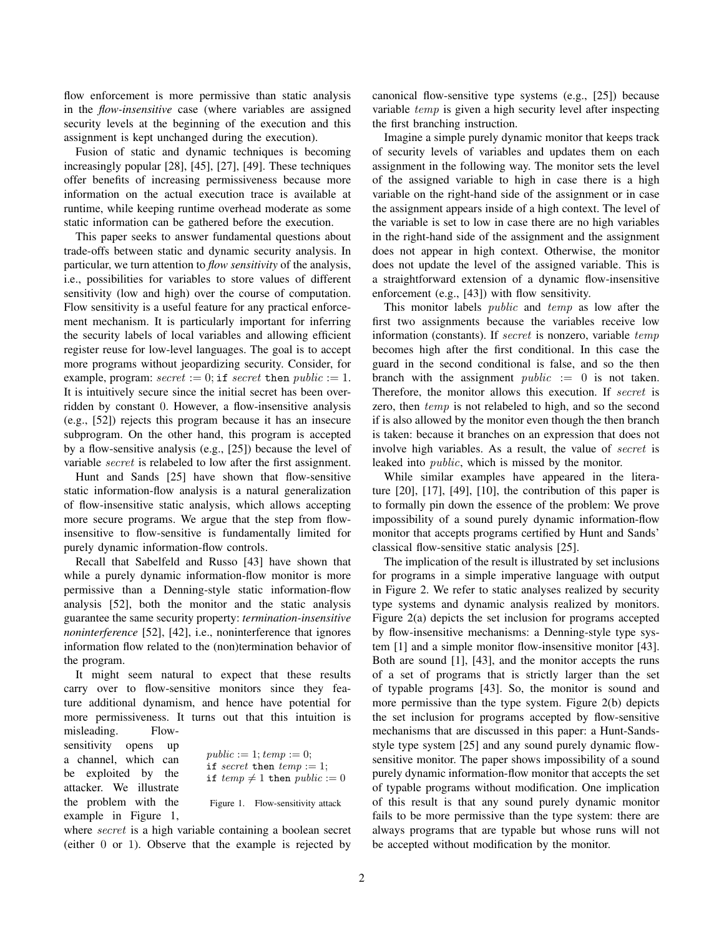flow enforcement is more permissive than static analysis in the *flow-insensitive* case (where variables are assigned security levels at the beginning of the execution and this assignment is kept unchanged during the execution).

Fusion of static and dynamic techniques is becoming increasingly popular [28], [45], [27], [49]. These techniques offer benefits of increasing permissiveness because more information on the actual execution trace is available at runtime, while keeping runtime overhead moderate as some static information can be gathered before the execution.

This paper seeks to answer fundamental questions about trade-offs between static and dynamic security analysis. In particular, we turn attention to *flow sensitivity* of the analysis, i.e., possibilities for variables to store values of different sensitivity (low and high) over the course of computation. Flow sensitivity is a useful feature for any practical enforcement mechanism. It is particularly important for inferring the security labels of local variables and allowing efficient register reuse for low-level languages. The goal is to accept more programs without jeopardizing security. Consider, for example, program:  $secret := 0$ ; if  $secret$  then  $public := 1$ . It is intuitively secure since the initial secret has been overridden by constant 0. However, a flow-insensitive analysis (e.g., [52]) rejects this program because it has an insecure subprogram. On the other hand, this program is accepted by a flow-sensitive analysis (e.g., [25]) because the level of variable secret is relabeled to low after the first assignment.

Hunt and Sands [25] have shown that flow-sensitive static information-flow analysis is a natural generalization of flow-insensitive static analysis, which allows accepting more secure programs. We argue that the step from flowinsensitive to flow-sensitive is fundamentally limited for purely dynamic information-flow controls.

Recall that Sabelfeld and Russo [43] have shown that while a purely dynamic information-flow monitor is more permissive than a Denning-style static information-flow analysis [52], both the monitor and the static analysis guarantee the same security property: *termination-insensitive noninterference* [52], [42], i.e., noninterference that ignores information flow related to the (non)termination behavior of the program.

It might seem natural to expect that these results carry over to flow-sensitive monitors since they feature additional dynamism, and hence have potential for more permissiveness. It turns out that this intuition is misleading. Flow-

sensitivity opens up a channel, which can be exploited by the attacker. We illustrate the problem with the example in Figure 1,

 $public := 1; temp := 0;$ if secret then  $temp := 1$ ; if  $temp \neq 1$  then  $public := 0$ Figure 1. Flow-sensitivity attack

where *secret* is a high variable containing a boolean secret (either 0 or 1). Observe that the example is rejected by canonical flow-sensitive type systems (e.g., [25]) because variable temp is given a high security level after inspecting the first branching instruction.

Imagine a simple purely dynamic monitor that keeps track of security levels of variables and updates them on each assignment in the following way. The monitor sets the level of the assigned variable to high in case there is a high variable on the right-hand side of the assignment or in case the assignment appears inside of a high context. The level of the variable is set to low in case there are no high variables in the right-hand side of the assignment and the assignment does not appear in high context. Otherwise, the monitor does not update the level of the assigned variable. This is a straightforward extension of a dynamic flow-insensitive enforcement (e.g., [43]) with flow sensitivity.

This monitor labels public and temp as low after the first two assignments because the variables receive low information (constants). If *secret* is nonzero, variable temp becomes high after the first conditional. In this case the guard in the second conditional is false, and so the then branch with the assignment  $public := 0$  is not taken. Therefore, the monitor allows this execution. If secret is zero, then  $temp$  is not relabeled to high, and so the second if is also allowed by the monitor even though the then branch is taken: because it branches on an expression that does not involve high variables. As a result, the value of secret is leaked into public, which is missed by the monitor.

While similar examples have appeared in the literature [20], [17], [49], [10], the contribution of this paper is to formally pin down the essence of the problem: We prove impossibility of a sound purely dynamic information-flow monitor that accepts programs certified by Hunt and Sands' classical flow-sensitive static analysis [25].

The implication of the result is illustrated by set inclusions for programs in a simple imperative language with output in Figure 2. We refer to static analyses realized by security type systems and dynamic analysis realized by monitors. Figure 2(a) depicts the set inclusion for programs accepted by flow-insensitive mechanisms: a Denning-style type system [1] and a simple monitor flow-insensitive monitor [43]. Both are sound [1], [43], and the monitor accepts the runs of a set of programs that is strictly larger than the set of typable programs [43]. So, the monitor is sound and more permissive than the type system. Figure 2(b) depicts the set inclusion for programs accepted by flow-sensitive mechanisms that are discussed in this paper: a Hunt-Sandsstyle type system [25] and any sound purely dynamic flowsensitive monitor. The paper shows impossibility of a sound purely dynamic information-flow monitor that accepts the set of typable programs without modification. One implication of this result is that any sound purely dynamic monitor fails to be more permissive than the type system: there are always programs that are typable but whose runs will not be accepted without modification by the monitor.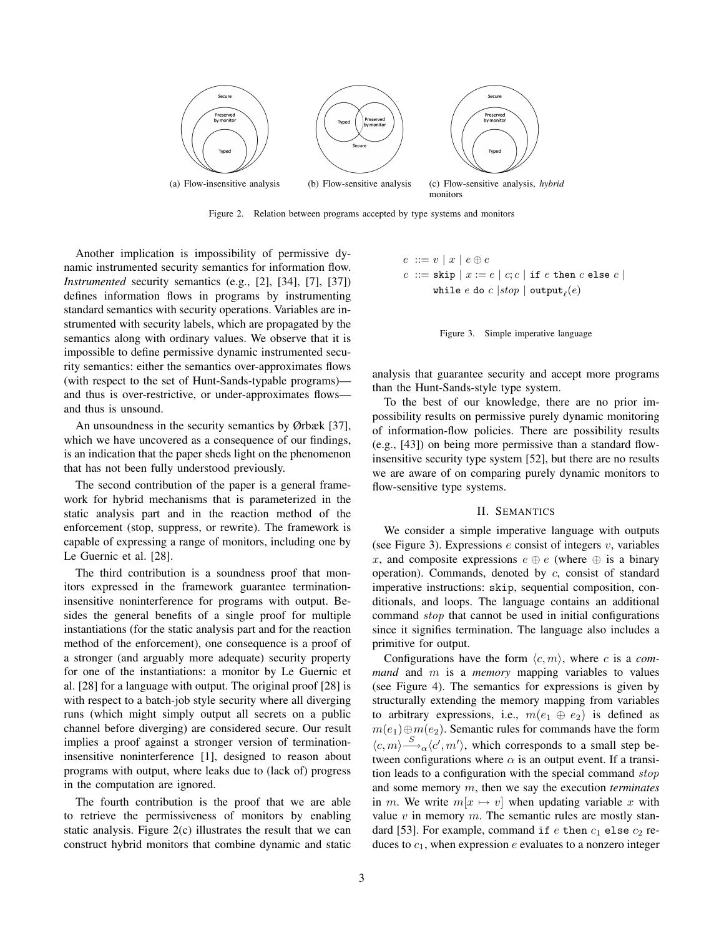

Figure 2. Relation between programs accepted by type systems and monitors

Another implication is impossibility of permissive dynamic instrumented security semantics for information flow. *Instrumented* security semantics (e.g., [2], [34], [7], [37]) defines information flows in programs by instrumenting standard semantics with security operations. Variables are instrumented with security labels, which are propagated by the semantics along with ordinary values. We observe that it is impossible to define permissive dynamic instrumented security semantics: either the semantics over-approximates flows (with respect to the set of Hunt-Sands-typable programs) and thus is over-restrictive, or under-approximates flows and thus is unsound.

An unsoundness in the security semantics by Ørbæk [37], which we have uncovered as a consequence of our findings, is an indication that the paper sheds light on the phenomenon that has not been fully understood previously.

The second contribution of the paper is a general framework for hybrid mechanisms that is parameterized in the static analysis part and in the reaction method of the enforcement (stop, suppress, or rewrite). The framework is capable of expressing a range of monitors, including one by Le Guernic et al. [28].

The third contribution is a soundness proof that monitors expressed in the framework guarantee terminationinsensitive noninterference for programs with output. Besides the general benefits of a single proof for multiple instantiations (for the static analysis part and for the reaction method of the enforcement), one consequence is a proof of a stronger (and arguably more adequate) security property for one of the instantiations: a monitor by Le Guernic et al. [28] for a language with output. The original proof [28] is with respect to a batch-job style security where all diverging runs (which might simply output all secrets on a public channel before diverging) are considered secure. Our result implies a proof against a stronger version of terminationinsensitive noninterference [1], designed to reason about programs with output, where leaks due to (lack of) progress in the computation are ignored.

The fourth contribution is the proof that we are able to retrieve the permissiveness of monitors by enabling static analysis. Figure 2(c) illustrates the result that we can construct hybrid monitors that combine dynamic and static

$$
e ::= v | x | e \oplus e
$$
  

$$
c ::= \text{skip} | x := e | c; c | \text{ if } e \text{ then } c \text{ else } c |
$$
  
while e do c |stop | output<sub>ℓ</sub>(e)



analysis that guarantee security and accept more programs than the Hunt-Sands-style type system.

To the best of our knowledge, there are no prior impossibility results on permissive purely dynamic monitoring of information-flow policies. There are possibility results (e.g., [43]) on being more permissive than a standard flowinsensitive security type system [52], but there are no results we are aware of on comparing purely dynamic monitors to flow-sensitive type systems.

## II. SEMANTICS

We consider a simple imperative language with outputs (see Figure 3). Expressions  $e$  consist of integers  $v$ , variables x, and composite expressions  $e \oplus e$  (where  $\oplus$  is a binary operation). Commands, denoted by  $c$ , consist of standard imperative instructions: skip, sequential composition, conditionals, and loops. The language contains an additional command stop that cannot be used in initial configurations since it signifies termination. The language also includes a primitive for output.

Configurations have the form  $\langle c, m \rangle$ , where c is a *command* and m is a *memory* mapping variables to values (see Figure 4). The semantics for expressions is given by structurally extending the memory mapping from variables to arbitrary expressions, i.e.,  $m(e_1 \oplus e_2)$  is defined as  $m(e_1) \oplus m(e_2)$ . Semantic rules for commands have the form  $\langle c, m \rangle \stackrel{S}{\longrightarrow}_{\alpha} \langle c', m' \rangle$ , which corresponds to a small step between configurations where  $\alpha$  is an output event. If a transition leads to a configuration with the special command stop and some memory m, then we say the execution *terminates* in m. We write  $m[x \mapsto v]$  when updating variable x with value  $v$  in memory  $m$ . The semantic rules are mostly standard [53]. For example, command if  $e$  then  $c_1$  else  $c_2$  reduces to  $c_1$ , when expression  $e$  evaluates to a nonzero integer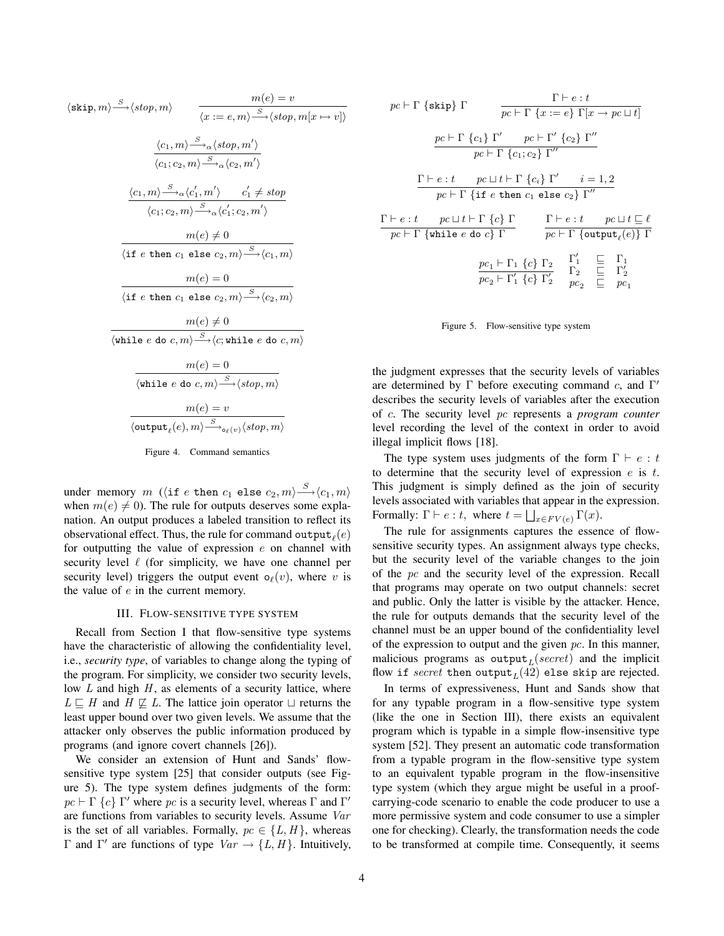$$
\langle \text{skip}, m \rangle \xrightarrow{S} \langle \text{stop}, m \rangle \qquad \frac{m(e) = v}{\langle x := e, m \rangle \xrightarrow{S} \langle \text{stop}, m[x \rightarrow v] \rangle}
$$
\n
$$
\frac{\langle c_1, m \rangle \xrightarrow{S} \alpha \langle \text{stop}, m' \rangle}{\langle c_1; c_2, m \rangle \xrightarrow{S} \alpha \langle c_2, m' \rangle}
$$
\n
$$
\frac{\langle c_1, m \rangle \xrightarrow{S} \alpha \langle c'_1, m' \rangle \qquad c'_1 \neq \text{stop}}{\langle c_1; c_2, m \rangle \xrightarrow{S} \alpha \langle c'_1; c_2, m' \rangle}
$$
\n
$$
\frac{m(e) \neq 0}{\langle \text{if } e \text{ then } c_1 \text{ else } c_2, m \rangle \xrightarrow{S} \langle c_1, m \rangle}
$$
\n
$$
\frac{m(e) = 0}{\langle \text{if } e \text{ then } c_1 \text{ else } c_2, m \rangle \xrightarrow{S} \langle c_2, m \rangle}
$$
\n
$$
\frac{m(e) \neq 0}{\langle \text{while } e \text{ do } c, m \rangle \xrightarrow{S} \langle c; \text{while } e \text{ do } c, m \rangle}
$$
\n
$$
\frac{m(e) = 0}{\langle \text{while } e \text{ do } c, m \rangle \xrightarrow{S} \langle \text{stop}, m \rangle}
$$
\n
$$
\frac{m(e) = v}{\langle \text{output}_{\ell}(e), m \rangle \xrightarrow{S} \langle \text{stop}, \gamma \rangle} \langle \text{stop}, m \rangle}
$$

Figure 4. Command semantics

under memory  $m$  ( $\langle$ if  $e$  then  $c_1$  else  $c_2, m\rangle {\stackrel{S}{\longrightarrow}} \langle c_1, m\rangle$ when  $m(e) \neq 0$ ). The rule for outputs deserves some explanation. An output produces a labeled transition to reflect its observational effect. Thus, the rule for command  $\mathtt{output}_\ell(e)$ for outputting the value of expression  $e$  on channel with security level  $\ell$  (for simplicity, we have one channel per security level) triggers the output event  $o_{\ell}(v)$ , where v is the value of  $e$  in the current memory.

#### III. FLOW-SENSITIVE TYPE SYSTEM

Recall from Section I that flow-sensitive type systems have the characteristic of allowing the confidentiality level, i.e., *security type*, of variables to change along the typing of the program. For simplicity, we consider two security levels, low  $L$  and high  $H$ , as elements of a security lattice, where  $L \subseteq H$  and  $H \nsubseteq L$ . The lattice join operator  $\sqcup$  returns the least upper bound over two given levels. We assume that the attacker only observes the public information produced by programs (and ignore covert channels [26]).

We consider an extension of Hunt and Sands' flowsensitive type system [25] that consider outputs (see Figure 5). The type system defines judgments of the form:  $pc \vdash \Gamma \{c\} \Gamma'$  where  $pc$  is a security level, whereas  $\Gamma$  and  $\Gamma'$ are functions from variables to security levels. Assume Var is the set of all variables. Formally,  $pc \in \{L, H\}$ , whereas Γ and Γ' are functions of type  $Var$  → {L, H}. Intuitively,

$$
pc \vdash \Gamma \{\text{skip}\} \Gamma \qquad \frac{\Gamma \vdash e : t}{pc \vdash \Gamma \{x := e\} \Gamma[x \to pc \sqcup t]}
$$
\n
$$
\frac{pc \vdash \Gamma \{c_1\} \Gamma' \qquad pc \vdash \Gamma' \{c_2\} \Gamma''}{pc \vdash \Gamma \{c_1; c_2\} \Gamma''}
$$
\n
$$
\frac{\Gamma \vdash e : t \qquad pc \sqcup t \vdash \Gamma \{c_i\} \Gamma' \qquad i = 1, 2}{pc \vdash \Gamma \{\text{if } e \text{ then } c_1 \text{ else } c_2\} \Gamma''}
$$
\n
$$
\frac{\Gamma \vdash e : t \qquad pc \sqcup t \vdash \Gamma \{c\} \Gamma}{pc \vdash \Gamma \{\text{while } e \text{ do } c\} \Gamma} \qquad \frac{\Gamma \vdash e : t \qquad pc \sqcup t \sqsubseteq \ell}{pc \vdash \Gamma \{\text{output}_{\ell}(e)\} \Gamma}
$$
\n
$$
\frac{pc_1 \vdash \Gamma_1 \{c\} \Gamma_2}{pc_2 \vdash \Gamma'_1 \{c\} \Gamma'_2} \qquad \frac{\Gamma'_1}{pc_2} \qquad \frac{\Gamma}{pc_2} \qquad \frac{\Gamma}{pc}
$$

Figure 5. Flow-sensitive type system

the judgment expresses that the security levels of variables are determined by  $\Gamma$  before executing command c, and  $\Gamma'$ describes the security levels of variables after the execution of c. The security level pc represents a *program counter* level recording the level of the context in order to avoid illegal implicit flows [18].

The type system uses judgments of the form  $\Gamma \vdash e : t$ to determine that the security level of expression  $e$  is  $t$ . This judgment is simply defined as the join of security levels associated with variables that appear in the expression. Formally:  $\Gamma \vdash e : t$ , where  $t = \bigsqcup_{x \in FV(e)} \Gamma(x)$ .

The rule for assignments captures the essence of flowsensitive security types. An assignment always type checks, but the security level of the variable changes to the join of the pc and the security level of the expression. Recall that programs may operate on two output channels: secret and public. Only the latter is visible by the attacker. Hence, the rule for outputs demands that the security level of the channel must be an upper bound of the confidentiality level of the expression to output and the given  $pc$ . In this manner, malicious programs as output $_L$ (secret) and the implicit flow if  $secret$  then  $\mathtt{output}_{L}(42)$  else skip are rejected.

In terms of expressiveness, Hunt and Sands show that for any typable program in a flow-sensitive type system (like the one in Section III), there exists an equivalent program which is typable in a simple flow-insensitive type system [52]. They present an automatic code transformation from a typable program in the flow-sensitive type system to an equivalent typable program in the flow-insensitive type system (which they argue might be useful in a proofcarrying-code scenario to enable the code producer to use a more permissive system and code consumer to use a simpler one for checking). Clearly, the transformation needs the code to be transformed at compile time. Consequently, it seems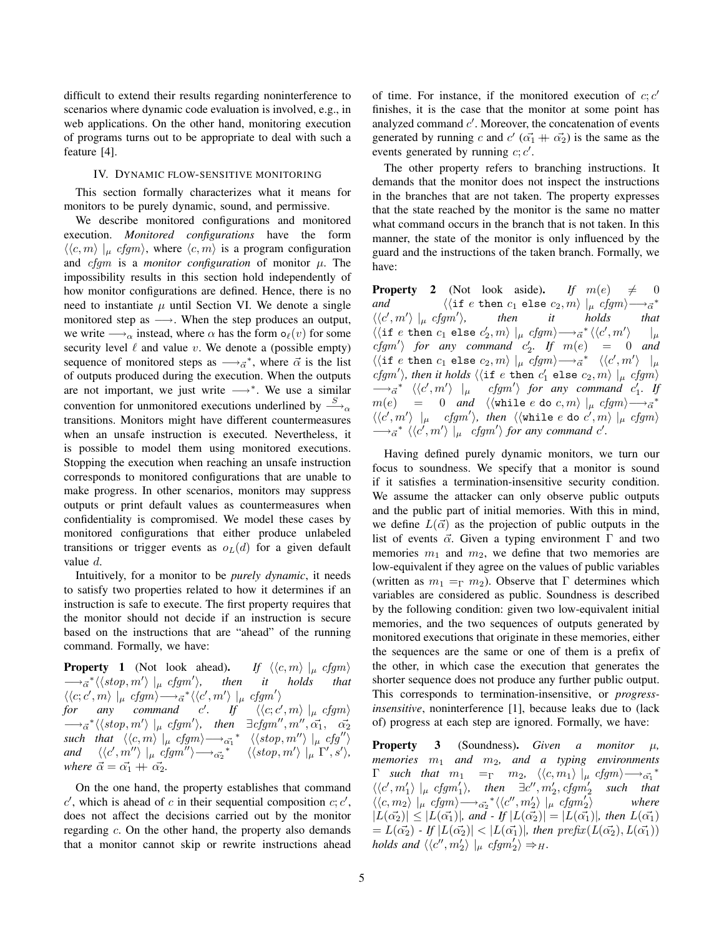difficult to extend their results regarding noninterference to scenarios where dynamic code evaluation is involved, e.g., in web applications. On the other hand, monitoring execution of programs turns out to be appropriate to deal with such a feature [4].

#### IV. DYNAMIC FLOW-SENSITIVE MONITORING

This section formally characterizes what it means for monitors to be purely dynamic, sound, and permissive.

We describe monitored configurations and monitored execution. *Monitored configurations* have the form  $\langle\langle c, m \rangle \rangle_{\mu}$  cfgm $\rangle$ , where  $\langle c, m \rangle$  is a program configuration and  $cfgm$  is a *monitor configuration* of monitor  $\mu$ . The impossibility results in this section hold independently of how monitor configurations are defined. Hence, there is no need to instantiate  $\mu$  until Section VI. We denote a single monitored step as  $\longrightarrow$ . When the step produces an output, we write  $\longrightarrow_{\alpha}$  instead, where  $\alpha$  has the form  $o_{\ell}(v)$  for some security level  $\ell$  and value v. We denote a (possible empty) sequence of monitored steps as  $\longrightarrow_{\vec{\alpha}}^*$ , where  $\vec{\alpha}$  is the list of outputs produced during the execution. When the outputs are not important, we just write  $\longrightarrow^*$ . We use a similar convention for unmonitored executions underlined by  $\stackrel{S}{\longrightarrow}_\alpha$ transitions. Monitors might have different countermeasures when an unsafe instruction is executed. Nevertheless, it is possible to model them using monitored executions. Stopping the execution when reaching an unsafe instruction corresponds to monitored configurations that are unable to make progress. In other scenarios, monitors may suppress outputs or print default values as countermeasures when confidentiality is compromised. We model these cases by monitored configurations that either produce unlabeled transitions or trigger events as  $o<sub>L</sub>(d)$  for a given default value d.

Intuitively, for a monitor to be *purely dynamic*, it needs to satisfy two properties related to how it determines if an instruction is safe to execute. The first property requires that the monitor should not decide if an instruction is secure based on the instructions that are "ahead" of the running command. Formally, we have:

**Property 1** (Not look ahead). *If*  $\langle \langle c, m \rangle |_{\mu} c f g m \rangle$  $\longrightarrow_{\vec{\alpha}}^*\langle \langle stop, m' \rangle \mid_{\mu} cfgm'$ i*, then it holds that*  $\langle \langle c; c', m \rangle \mid_{\mu} cfgm \rangle \longrightarrow_{\vec{\alpha}} {\langle \langle c', m' \rangle \mid_{\mu} cfgm' \rangle}$ *for any command c'. If*  $\langle \langle c, c \rangle \rangle$  $\langle m \rangle \mid_{\mu} cfgm \rangle$  $\longrightarrow_{\vec{\alpha}}^* \langle \langle stop, m' \rangle \mid_{\mu} cfgm' \rangle$ , then  $\exists cfgm'', m'', \vec{\alpha_1}, \vec{\alpha_2}$  $\textit{such that } \langle \langle c,m\rangle \mid_{\mu} c\textit{fgm} \rangle \longrightarrow_{\alpha_1^*}^* \langle \langle \textit{stop}, m'' \rangle \mid_{\mu} c\textit{fg''} \rangle$  $and \quad \langle \langle c', m'' \rangle \mid_{\mu} cfgm'' \rangle \longrightarrow_{\alpha_2^*}^* \quad \langle \langle stop, m' \rangle \mid_{\mu} \Gamma', s' \rangle,$ *where*  $\vec{\alpha} = \vec{\alpha_1} + \vec{\alpha_2}$ .

On the one hand, the property establishes that command  $c'$ , which is ahead of c in their sequential composition  $c$ ;  $c'$ , does not affect the decisions carried out by the monitor regarding c. On the other hand, the property also demands that a monitor cannot skip or rewrite instructions ahead

of time. For instance, if the monitored execution of  $c$ ;  $c'$ finishes, it is the case that the monitor at some point has analyzed command  $c'$ . Moreover, the concatenation of events generated by running c and  $c'$  ( $\vec{\alpha_1}$  +  $\vec{\alpha_2}$ ) is the same as the events generated by running  $c; c'$ .

The other property refers to branching instructions. It demands that the monitor does not inspect the instructions in the branches that are not taken. The property expresses that the state reached by the monitor is the same no matter what command occurs in the branch that is not taken. In this manner, the state of the monitor is only influenced by the guard and the instructions of the taken branch. Formally, we have:

**Property 2** (Not look aside). If  $m(e) \neq 0$ *and*  $\langle\langle \text{if } e \text{ then } c_1 \text{ else } c_2, m \rangle |_{\mu} cfgm \rangle \overrightarrow{\alpha}^*$  $\langle \langle c', m' \rangle \mid_{\mu} c f g m'$ i*, then it holds that*  $\langle\langle \texttt{if } e \texttt{ then } c_1 \texttt{ else } c'_2,m\rangle \mid_{\mu} \textit{cfgm} \rangle {\longrightarrow_{\vec{\alpha}}^*} \langle\langle c',m' \rangle$  $|_u$  $cfgm'$  *for any command*  $c'_2$ . If  $m(e)$  = 0 *and*  $\langle\langle \texttt{if } e \texttt{ then } c_1 \texttt{ else } c_2, m \rangle \mid_{\mu} c\textit{fgm} \rangle \longrightarrow_{\vec{\alpha}}^* \langle\langle c', m' \rangle \mid_{\mu}$  $\langle fgm' \rangle$ , then it holds  $\langle \langle \text{if } e \text{ then } c'_1 \text{ else } c_2, m \rangle \mid \mu \text{ } cfgm' \rangle$  $\longrightarrow_{\vec{\alpha}}^*$   $\langle\langle c',m'\rangle |_{\mu}$  *cfgm' for any command*  $c'_1$ *. If*  $m(e)$  = 0 *and*  $\langle\langle \texttt{while} \; e \; \texttt{do} \; c, m \rangle \;|_\mu \; cfgm\rangle \longrightarrow_{\vec{\alpha}}^*$  $\langle\langle c',m'\rangle\ \left|\begin{matrix}\mu&c\textit{fgm}'\end{matrix}\right\rangle$ , then  $\langle\langle$  while  $e$  do  $c',m\rangle\ \left|\begin{matrix}\mu&c\textit{fgm}\end{matrix}\right\rangle$  $\longrightarrow_{\vec{a}}^* \langle \langle c', m' \rangle \mid_{\mu} \text{ cfgm'} \rangle$  for any command c'.

Having defined purely dynamic monitors, we turn our focus to soundness. We specify that a monitor is sound if it satisfies a termination-insensitive security condition. We assume the attacker can only observe public outputs and the public part of initial memories. With this in mind, we define  $L(\vec{\alpha})$  as the projection of public outputs in the list of events  $\vec{\alpha}$ . Given a typing environment  $\Gamma$  and two memories  $m_1$  and  $m_2$ , we define that two memories are low-equivalent if they agree on the values of public variables (written as  $m_1 = \nightharpoonup m_2$ ). Observe that  $\Gamma$  determines which variables are considered as public. Soundness is described by the following condition: given two low-equivalent initial memories, and the two sequences of outputs generated by monitored executions that originate in these memories, either the sequences are the same or one of them is a prefix of the other, in which case the execution that generates the shorter sequence does not produce any further public output. This corresponds to termination-insensitive, or *progressinsensitive*, noninterference [1], because leaks due to (lack of) progress at each step are ignored. Formally, we have:

Property 3 (Soundness). *Given a monitor* µ*, memories* m<sup>1</sup> *and* m2*, and a typing environments*  $\Gamma$  *such that*  $m_1 = \Gamma$   $m_2$ ,  $\langle \langle c, m_1 \rangle | \mu \ c f g m \rangle \longrightarrow \tilde{\alpha_1}^*$  $\langle \langle c', m'_1 \rangle \mid_{\mu} c f g m'_1 \rangle$ , then  $\exists c'', m'_2, c f g m'_2$  such that  $\langle \langle c, m_2 \rangle |_{\mu}$  cfgm $\rangle \longrightarrow_{\sigma_2^*} {\langle \langle c'', m'_2 \rangle |_{\mu}}$  cfgm'<sub>2</sub> i *where*  $|L(\vec{\alpha_2})| \leq |L(\vec{\alpha_1})|$ *, and - If*  $|L(\vec{\alpha_2})| = |L(\vec{\alpha_1})|$ *, then*  $L(\vec{\alpha_1})$  $= L(\vec{\alpha_2}) - If$   $|L(\vec{\alpha_2})| < |L(\vec{\alpha_1})|$ *, then prefix*  $(L(\vec{\alpha_2}), L(\vec{\alpha_1}))$ holds and  $\langle \langle c^{\prime\prime}, m_2^{\prime}\rangle \mid_{\mu} c f g m_2^{\prime}\rangle \Rightarrow_H$ .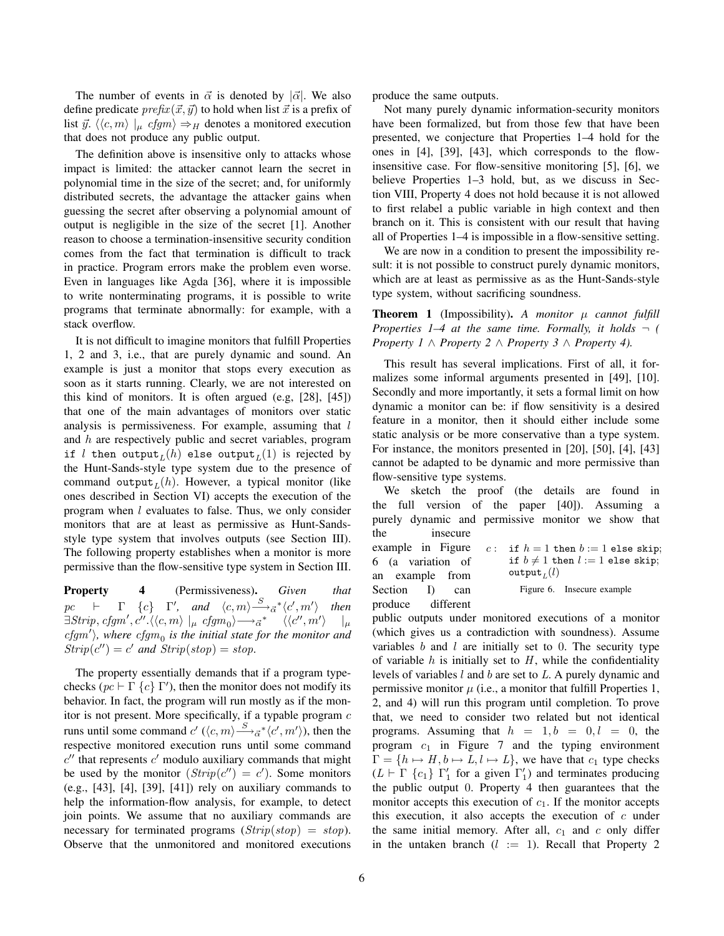The number of events in  $\vec{\alpha}$  is denoted by  $|\vec{\alpha}|$ . We also define predicate  $prefix(\vec{x}, \vec{y})$  to hold when list  $\vec{x}$  is a prefix of list  $\vec{y}$ .  $\langle \langle c, m \rangle |_{\mu} cfgm \rangle \Rightarrow_H$  denotes a monitored execution that does not produce any public output.

The definition above is insensitive only to attacks whose impact is limited: the attacker cannot learn the secret in polynomial time in the size of the secret; and, for uniformly distributed secrets, the advantage the attacker gains when guessing the secret after observing a polynomial amount of output is negligible in the size of the secret [1]. Another reason to choose a termination-insensitive security condition comes from the fact that termination is difficult to track in practice. Program errors make the problem even worse. Even in languages like Agda [36], where it is impossible to write nonterminating programs, it is possible to write programs that terminate abnormally: for example, with a stack overflow.

It is not difficult to imagine monitors that fulfill Properties 1, 2 and 3, i.e., that are purely dynamic and sound. An example is just a monitor that stops every execution as soon as it starts running. Clearly, we are not interested on this kind of monitors. It is often argued (e.g, [28], [45]) that one of the main advantages of monitors over static analysis is permissiveness. For example, assuming that  $l$ and h are respectively public and secret variables, program if  $l$  then  $\mathtt{output}_L(h)$  else  $\mathtt{output}_L(1)$  is rejected by the Hunt-Sands-style type system due to the presence of command output $_L(h)$ . However, a typical monitor (like ones described in Section VI) accepts the execution of the program when l evaluates to false. Thus, we only consider monitors that are at least as permissive as Hunt-Sandsstyle type system that involves outputs (see Section III). The following property establishes when a monitor is more permissive than the flow-sensitive type system in Section III.

Property 4 (Permissiveness). *Given that*  $pc$  **F**  $\{c\}$  **F'**, and  $\langle c, m \rangle \stackrel{S}{\longrightarrow}_{\vec{\alpha}} \langle c', m' \rangle$ i *then*  $\exists {Strip}, {\it cfgm}', {\it c''}. \langle \langle c,m\rangle\mid_{\mu} {\it cfgm}_0 \rangle {\longrightarrow} \vec{\alpha}^* \quad \ \ \langle \langle c'',m' \rangle \rangle$  $|_\mu$  $cfgm'$ ), where  $cfgm_0$  is the initial state for the monitor and  $Strip(c'') = c'$  and  $Strip(stop) = stop$ .

The property essentially demands that if a program typechecks ( $pc \vdash \Gamma \{c\} \Gamma'$ ), then the monitor does not modify its behavior. In fact, the program will run mostly as if the monitor is not present. More specifically, if a typable program  $c$ runs until some command  $c'$  ( $\langle c, m \rangle \stackrel{S}{\longrightarrow}_{\vec{\alpha}}^* \langle c', m' \rangle$ ), then the respective monitored execution runs until some command  $c''$  that represents  $c'$  modulo auxiliary commands that might be used by the monitor  $(Strip(c'') = c')$ . Some monitors (e.g., [43], [4], [39], [41]) rely on auxiliary commands to help the information-flow analysis, for example, to detect join points. We assume that no auxiliary commands are necessary for terminated programs  $(Strip(stop) = stop)$ . Observe that the unmonitored and monitored executions produce the same outputs.

Not many purely dynamic information-security monitors have been formalized, but from those few that have been presented, we conjecture that Properties 1–4 hold for the ones in [4], [39], [43], which corresponds to the flowinsensitive case. For flow-sensitive monitoring [5], [6], we believe Properties 1–3 hold, but, as we discuss in Section VIII, Property 4 does not hold because it is not allowed to first relabel a public variable in high context and then branch on it. This is consistent with our result that having all of Properties 1–4 is impossible in a flow-sensitive setting.

We are now in a condition to present the impossibility result: it is not possible to construct purely dynamic monitors, which are at least as permissive as as the Hunt-Sands-style type system, without sacrificing soundness.

**Theorem 1** (Impossibility). A monitor  $\mu$  cannot fulfill *Properties 1–4 at the same time. Formally, it holds*  $\neg$  *( Property 1* ∧ *Property 2* ∧ *Property 3* ∧ *Property 4).*

This result has several implications. First of all, it formalizes some informal arguments presented in [49], [10]. Secondly and more importantly, it sets a formal limit on how dynamic a monitor can be: if flow sensitivity is a desired feature in a monitor, then it should either include some static analysis or be more conservative than a type system. For instance, the monitors presented in [20], [50], [4], [43] cannot be adapted to be dynamic and more permissive than flow-sensitive type systems.

We sketch the proof (the details are found in the full version of the paper [40]). Assuming a purely dynamic and permissive monitor we show that the insecure

example in Figure 6 (a variation of an example from Section I) can produce different

```
c: if h = 1 then b := 1 else skip;
if b \neq 1 then l := 1 else skip;
\mathsf{output}_L(l)
```
Figure 6. Insecure example

public outputs under monitored executions of a monitor (which gives us a contradiction with soundness). Assume variables  $b$  and  $l$  are initially set to 0. The security type of variable  $h$  is initially set to  $H$ , while the confidentiality levels of variables l and b are set to L. A purely dynamic and permissive monitor  $\mu$  (i.e., a monitor that fulfill Properties 1, 2, and 4) will run this program until completion. To prove that, we need to consider two related but not identical programs. Assuming that  $h = 1, b = 0, l = 0$ , the program  $c_1$  in Figure 7 and the typing environment  $\Gamma = \{h \mapsto H, b \mapsto L, l \mapsto L\}$ , we have that  $c_1$  type checks  $(L \vdash \Gamma \{c_1\} \Gamma'_1$  for a given  $\Gamma'_1$ ) and terminates producing the public output 0. Property 4 then guarantees that the monitor accepts this execution of  $c_1$ . If the monitor accepts this execution, it also accepts the execution of  $c$  under the same initial memory. After all,  $c_1$  and c only differ in the untaken branch  $(l := 1)$ . Recall that Property 2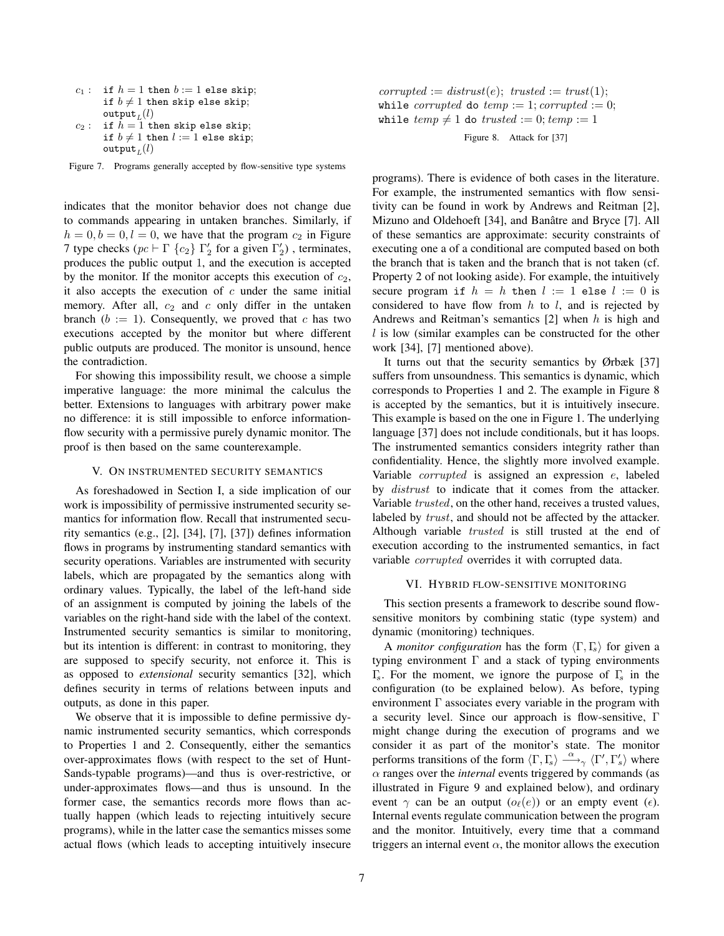$c_1:$  if  $h = 1$  then  $b := 1$  else skip; if  $b \neq 1$  then skip else skip;  $\mathsf{output}_L(l)$  $c_2$ : if  $h = 1$  then skip else skip;

if 
$$
b \neq 1
$$
 then  $l := 1$  else skip;  
output<sub>L</sub>(*l*)

Figure 7. Programs generally accepted by flow-sensitive type systems

indicates that the monitor behavior does not change due to commands appearing in untaken branches. Similarly, if  $h = 0, b = 0, l = 0$ , we have that the program  $c_2$  in Figure 7 type checks ( $pc \vdash \Gamma$  { $c_2$ }  $\Gamma'_2$  for a given  $\Gamma'_2$ ), terminates, produces the public output 1, and the execution is accepted by the monitor. If the monitor accepts this execution of  $c_2$ , it also accepts the execution of  $c$  under the same initial memory. After all,  $c_2$  and  $c$  only differ in the untaken branch ( $b := 1$ ). Consequently, we proved that c has two executions accepted by the monitor but where different public outputs are produced. The monitor is unsound, hence the contradiction.

For showing this impossibility result, we choose a simple imperative language: the more minimal the calculus the better. Extensions to languages with arbitrary power make no difference: it is still impossible to enforce informationflow security with a permissive purely dynamic monitor. The proof is then based on the same counterexample.

## V. ON INSTRUMENTED SECURITY SEMANTICS

As foreshadowed in Section I, a side implication of our work is impossibility of permissive instrumented security semantics for information flow. Recall that instrumented security semantics (e.g., [2], [34], [7], [37]) defines information flows in programs by instrumenting standard semantics with security operations. Variables are instrumented with security labels, which are propagated by the semantics along with ordinary values. Typically, the label of the left-hand side of an assignment is computed by joining the labels of the variables on the right-hand side with the label of the context. Instrumented security semantics is similar to monitoring, but its intention is different: in contrast to monitoring, they are supposed to specify security, not enforce it. This is as opposed to *extensional* security semantics [32], which defines security in terms of relations between inputs and outputs, as done in this paper.

We observe that it is impossible to define permissive dynamic instrumented security semantics, which corresponds to Properties 1 and 2. Consequently, either the semantics over-approximates flows (with respect to the set of Hunt-Sands-typable programs)—and thus is over-restrictive, or under-approximates flows—and thus is unsound. In the former case, the semantics records more flows than actually happen (which leads to rejecting intuitively secure programs), while in the latter case the semantics misses some actual flows (which leads to accepting intuitively insecure

 $corrupted := \text{distrust}(e); \text{ trusted} := \text{trust}(1);$ while *corrupted* do  $temp := 1$ ; *corrupted* := 0; while  $temp \neq 1$  do  $trusted := 0; temp := 1$ 

Figure 8. Attack for [37]

programs). There is evidence of both cases in the literature. For example, the instrumented semantics with flow sensitivity can be found in work by Andrews and Reitman [2], Mizuno and Oldehoeft [34], and Banâtre and Bryce [7]. All of these semantics are approximate: security constraints of executing one a of a conditional are computed based on both the branch that is taken and the branch that is not taken (cf. Property 2 of not looking aside). For example, the intuitively secure program if  $h = h$  then  $l := 1$  else  $l := 0$  is considered to have flow from  $h$  to  $l$ , and is rejected by Andrews and Reitman's semantics [2] when h is high and l is low (similar examples can be constructed for the other work [34], [7] mentioned above).

It turns out that the security semantics by Ørbæk [37] suffers from unsoundness. This semantics is dynamic, which corresponds to Properties 1 and 2. The example in Figure 8 is accepted by the semantics, but it is intuitively insecure. This example is based on the one in Figure 1. The underlying language [37] does not include conditionals, but it has loops. The instrumented semantics considers integrity rather than confidentiality. Hence, the slightly more involved example. Variable corrupted is assigned an expression e, labeled by *distrust* to indicate that it comes from the attacker. Variable trusted, on the other hand, receives a trusted values, labeled by *trust*, and should not be affected by the attacker. Although variable trusted is still trusted at the end of execution according to the instrumented semantics, in fact variable corrupted overrides it with corrupted data.

#### VI. HYBRID FLOW-SENSITIVE MONITORING

This section presents a framework to describe sound flowsensitive monitors by combining static (type system) and dynamic (monitoring) techniques.

A *monitor configuration* has the form  $\langle \Gamma, \Gamma_s \rangle$  for given a typing environment  $\Gamma$  and a stack of typing environments Γ<sub>s</sub>. For the moment, we ignore the purpose of Γ<sub>s</sub> in the configuration (to be explained below). As before, typing environment  $\Gamma$  associates every variable in the program with a security level. Since our approach is flow-sensitive, Γ might change during the execution of programs and we consider it as part of the monitor's state. The monitor performs transitions of the form  $\langle \Gamma, \Gamma_s \rangle \stackrel{\alpha}{\longrightarrow} \langle \Gamma', \Gamma'_s \rangle$  where  $\alpha$  ranges over the *internal* events triggered by commands (as illustrated in Figure 9 and explained below), and ordinary event  $\gamma$  can be an output  $(o_\ell(e))$  or an empty event  $(\epsilon)$ . Internal events regulate communication between the program and the monitor. Intuitively, every time that a command triggers an internal event  $\alpha$ , the monitor allows the execution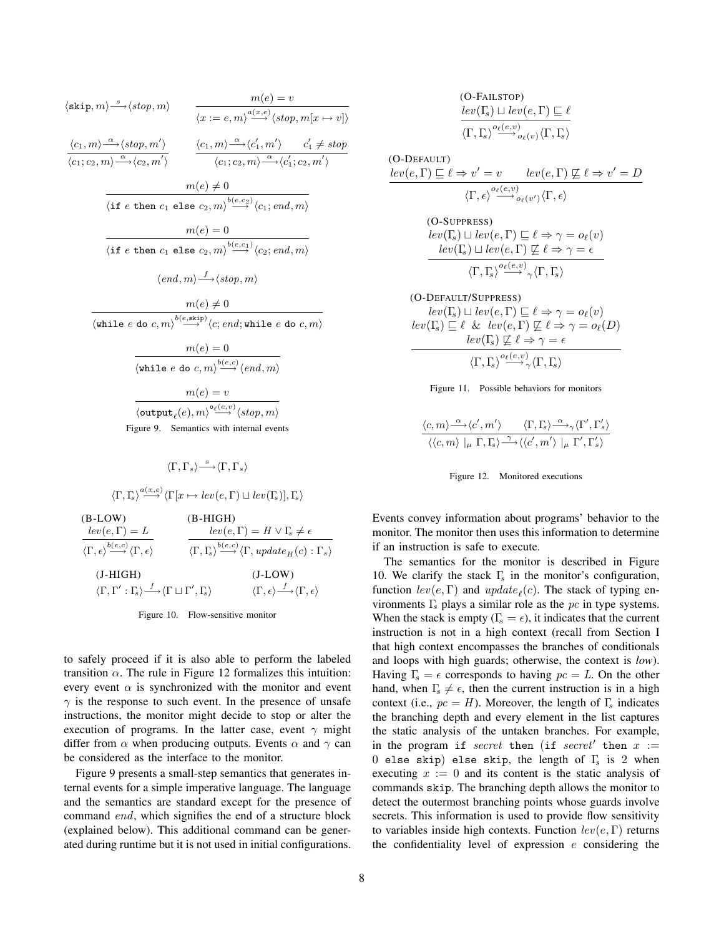$$
\langle \text{skip}, m \rangle \stackrel{s}{\longrightarrow} \langle \text{stop}, m \rangle
$$
\n
$$
\frac{m(e) = v}{\langle x := e, m \rangle \stackrel{a(x,e)}{\longrightarrow} \langle \text{stop}, m[x \mapsto v] \rangle}
$$
\n
$$
\frac{\langle c_1, m \rangle \stackrel{\alpha}{\longrightarrow} \langle \text{stop}, m' \rangle}{\langle c_1, c_2, m \rangle \stackrel{\alpha}{\longrightarrow} \langle c_1', m' \rangle} \frac{\langle c_1, m \rangle \stackrel{\alpha}{\longrightarrow} \langle c_1', m' \rangle}{\langle c_1, c_2, m \rangle \stackrel{\alpha}{\longrightarrow} \langle c_1', c_2, m' \rangle}
$$
\n
$$
\frac{m(e) \neq 0}{\langle \text{if } e \text{ then } c_1 \text{ else } c_2, m \rangle \stackrel{b(e,c_2)}{\longrightarrow} \langle c_1; end, m \rangle}
$$
\n
$$
m(e) = 0
$$
\n
$$
\langle \text{if } e \text{ then } c_1 \text{ else } c_2, m \rangle \stackrel{b(e,c_1)}{\longrightarrow} \langle c_2; end, m \rangle}
$$
\n
$$
\langle end, m \rangle \stackrel{f}{\longrightarrow} \langle \text{stop}, m \rangle
$$
\n
$$
m(e) \neq 0
$$
\n
$$
\langle \text{while } e \text{ do } c, m \rangle \stackrel{b(e, \text{skip})}{\longrightarrow} \langle c; end; \text{while } e \text{ do } c, m \rangle
$$
\n
$$
\frac{m(e) = 0}{\langle \text{while } e \text{ do } c, m \rangle \stackrel{b(e,c)}{\longrightarrow} \langle end, m \rangle}
$$
\n
$$
m(e) = v
$$
\n
$$
\langle \text{output}_\ell(e), m \rangle \stackrel{\alpha}{\longrightarrow} \langle \text{stop}, m \rangle
$$
\nFigure 9. Semantics with internal events

$$
\langle \Gamma, \Gamma_s \rangle \stackrel{s}{\longrightarrow} \langle \Gamma, \Gamma_s \rangle
$$

$$
\langle \Gamma, \Gamma_s \rangle \stackrel{a(x,e)}{\longrightarrow} \langle \Gamma[x \mapsto lev(e, \Gamma) \sqcup lev(\Gamma_s)], \Gamma_s \rangle
$$

(B-LOW)  $lev(e, \Gamma) = L$  $\langle \Gamma, \epsilon \rangle \frac{b(e,c)}{\longrightarrow} \langle \Gamma, \epsilon \rangle$ (B-HIGH)  $lev(e, \Gamma) = H \vee \Gamma_s \neq \epsilon$  $\langle \Gamma, \Gamma_s \rangle \stackrel{b(e,c)}{\longrightarrow} \langle \Gamma, update_H(c) : \Gamma_s \rangle$ (J-HIGH)  $\langle \Gamma, \Gamma' : \Gamma_s \rangle \stackrel{f}{\longrightarrow} \langle \Gamma \sqcup \Gamma', \Gamma_s \rangle$  $(J-LOW)$  $\langle \Gamma, \epsilon \rangle \frac{f}{\longrightarrow} \langle \Gamma, \epsilon \rangle$ 

Figure 10. Flow-sensitive monitor

to safely proceed if it is also able to perform the labeled transition  $\alpha$ . The rule in Figure 12 formalizes this intuition: every event  $\alpha$  is synchronized with the monitor and event  $\gamma$  is the response to such event. In the presence of unsafe instructions, the monitor might decide to stop or alter the execution of programs. In the latter case, event  $\gamma$  might differ from  $\alpha$  when producing outputs. Events  $\alpha$  and  $\gamma$  can be considered as the interface to the monitor.

Figure 9 presents a small-step semantics that generates internal events for a simple imperative language. The language and the semantics are standard except for the presence of command end, which signifies the end of a structure block (explained below). This additional command can be generated during runtime but it is not used in initial configurations.

(O-DEFAULT)  
\n
$$
lev(e, \Gamma) \sqsubseteq \ell \Rightarrow v' = v
$$
  $lev(e, \Gamma) \not\sqsubseteq \ell \Rightarrow v' = D$   
\n $\langle \Gamma, \epsilon \rangle \xrightarrow{o_{\ell}(e, v)} o_{\ell}(v') \langle \Gamma, \epsilon \rangle$   
\n(O-SUPRESS)  
\n $lev(\Gamma_s) \sqcup lev(e, \Gamma) \sqsubseteq \ell \Rightarrow \gamma = o_{\ell}(v)$   
\n $lev(\Gamma_s) \sqcup lev(e, \Gamma) \not\sqsubseteq \ell \Rightarrow \gamma = \epsilon$   
\n $\langle \Gamma, \Gamma_s \rangle \xrightarrow{o_{\ell}(e, v)} \gamma \langle \Gamma, \Gamma_s \rangle$   
\n(O-DEFAULT/SUPPRESS)  
\n $lev(\Gamma_s) \sqcup lev(e, \Gamma) \sqsubseteq \ell \Rightarrow \gamma = o_{\ell}(v)$ 

 $lev(\Gamma_s) \sqcup lev(e, \Gamma) \sqsubseteq \ell \Rightarrow \gamma = o_{\ell}(v)$  $lev(\Gamma_{\!s}) \sqsubseteq \ell \And lev(e, \Gamma) \not\sqsubseteq \ell \Rightarrow \gamma = o_{\ell}(D)$  $lev(\Gamma_{\!\!s}) \not\sqsubseteq \ell \Rightarrow \gamma = \epsilon$  $\langle \Gamma, \Gamma_{\!s} \rangle \! \stackrel{o_{\ell}(e,v)}{\longrightarrow} \! \gamma \langle \Gamma, \Gamma_{\!s} \rangle$ 



$$
\frac{\langle c,m\rangle \stackrel{\alpha}{\longrightarrow} \langle c',m'\rangle \qquad \langle \Gamma,\Gamma_{\!s}\rangle \stackrel{\alpha}{\longrightarrow} {}_{\gamma}\langle \Gamma',\Gamma'_{s}\rangle}{\langle\langle c,m\rangle\mid_{\mu} \Gamma,\Gamma_{\!s}\rangle \stackrel{\gamma}{\longrightarrow} \langle\langle c',m'\rangle\mid_{\mu} \Gamma',\Gamma'_{s}\rangle}
$$



Events convey information about programs' behavior to the monitor. The monitor then uses this information to determine if an instruction is safe to execute.

The semantics for the monitor is described in Figure 10. We clarify the stack  $\Gamma$ <sub>s</sub> in the monitor's configuration, function  $lev(e, \Gamma)$  and  $update_e(c)$ . The stack of typing environments  $\Gamma$ <sub>s</sub> plays a similar role as the pc in type systems. When the stack is empty ( $\Gamma_s = \epsilon$ ), it indicates that the current instruction is not in a high context (recall from Section I that high context encompasses the branches of conditionals and loops with high guards; otherwise, the context is *low*). Having  $\Gamma_s = \epsilon$  corresponds to having  $pc = L$ . On the other hand, when  $\Gamma_s \neq \epsilon$ , then the current instruction is in a high context (i.e.,  $pc = H$ ). Moreover, the length of  $\Gamma<sub>s</sub>$  indicates the branching depth and every element in the list captures the static analysis of the untaken branches. For example, in the program if secret then (if secret' then  $x :=$ 0 else skip) else skip, the length of  $\Gamma_s$  is 2 when executing  $x := 0$  and its content is the static analysis of commands skip. The branching depth allows the monitor to detect the outermost branching points whose guards involve secrets. This information is used to provide flow sensitivity to variables inside high contexts. Function  $lev(e, \Gamma)$  returns the confidentiality level of expression  $e$  considering the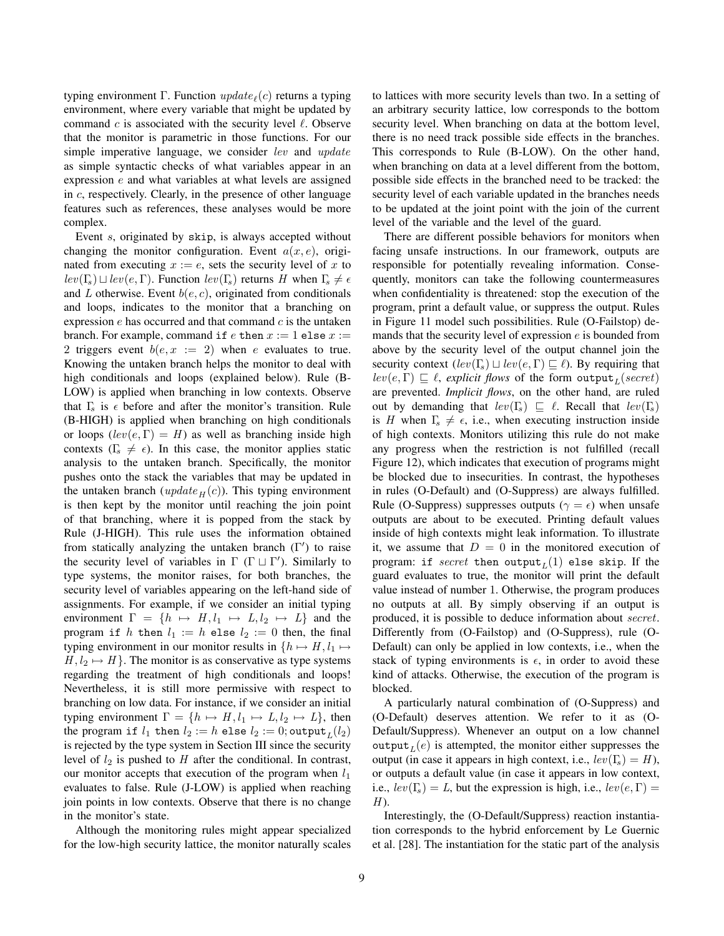typing environment  $\Gamma$ . Function  $update_{\ell}(c)$  returns a typing environment, where every variable that might be updated by command  $c$  is associated with the security level  $\ell$ . Observe that the monitor is parametric in those functions. For our simple imperative language, we consider *lev* and *update* as simple syntactic checks of what variables appear in an expression e and what variables at what levels are assigned in c, respectively. Clearly, in the presence of other language features such as references, these analyses would be more complex.

Event s, originated by skip, is always accepted without changing the monitor configuration. Event  $a(x, e)$ , originated from executing  $x := e$ , sets the security level of x to  $lev(\Gamma_{\!s}) \sqcup lev(e, \Gamma)$ . Function  $lev(\Gamma_{\!s})$  returns H when  $\Gamma_{\!s} \neq \epsilon$ and L otherwise. Event  $b(e, c)$ , originated from conditionals and loops, indicates to the monitor that a branching on expression  $e$  has occurred and that command  $c$  is the untaken branch. For example, command if  $e$  then  $x := 1$  else  $x :=$ 2 triggers event  $b(e, x := 2)$  when e evaluates to true. Knowing the untaken branch helps the monitor to deal with high conditionals and loops (explained below). Rule (B-LOW) is applied when branching in low contexts. Observe that  $\Gamma$ <sub>s</sub> is  $\epsilon$  before and after the monitor's transition. Rule (B-HIGH) is applied when branching on high conditionals or loops  $(lev(e, \Gamma) = H)$  as well as branching inside high contexts ( $\Gamma$ <sub>s</sub>  $\neq$   $\epsilon$ ). In this case, the monitor applies static analysis to the untaken branch. Specifically, the monitor pushes onto the stack the variables that may be updated in the untaken branch ( $update_H (c)$ ). This typing environment is then kept by the monitor until reaching the join point of that branching, where it is popped from the stack by Rule (J-HIGH). This rule uses the information obtained from statically analyzing the untaken branch  $(\Gamma')$  to raise the security level of variables in  $\Gamma$  ( $\Gamma \sqcup \Gamma'$ ). Similarly to type systems, the monitor raises, for both branches, the security level of variables appearing on the left-hand side of assignments. For example, if we consider an initial typing environment  $\Gamma = \{h \mapsto H, l_1 \mapsto L, l_2 \mapsto L\}$  and the program if h then  $l_1 := h$  else  $l_2 := 0$  then, the final typing environment in our monitor results in  $\{h \mapsto H, l_1 \mapsto$  $H, l_2 \mapsto H$ . The monitor is as conservative as type systems regarding the treatment of high conditionals and loops! Nevertheless, it is still more permissive with respect to branching on low data. For instance, if we consider an initial typing environment  $\Gamma = \{h \mapsto H, l_1 \mapsto L, l_2 \mapsto L\}$ , then the program if  $l_1$  then  $l_2 := h$  else  $l_2 := 0$ ; output $_L(l_2)$ is rejected by the type system in Section III since the security level of  $l_2$  is pushed to  $H$  after the conditional. In contrast, our monitor accepts that execution of the program when  $l_1$ evaluates to false. Rule (J-LOW) is applied when reaching join points in low contexts. Observe that there is no change in the monitor's state.

Although the monitoring rules might appear specialized for the low-high security lattice, the monitor naturally scales to lattices with more security levels than two. In a setting of an arbitrary security lattice, low corresponds to the bottom security level. When branching on data at the bottom level, there is no need track possible side effects in the branches. This corresponds to Rule (B-LOW). On the other hand, when branching on data at a level different from the bottom, possible side effects in the branched need to be tracked: the security level of each variable updated in the branches needs to be updated at the joint point with the join of the current level of the variable and the level of the guard.

There are different possible behaviors for monitors when facing unsafe instructions. In our framework, outputs are responsible for potentially revealing information. Consequently, monitors can take the following countermeasures when confidentiality is threatened: stop the execution of the program, print a default value, or suppress the output. Rules in Figure 11 model such possibilities. Rule (O-Failstop) demands that the security level of expression  $e$  is bounded from above by the security level of the output channel join the security context  $\left(\text{lev}(\Gamma_s) \sqcup \text{lev}(e, \Gamma) \sqsubseteq \ell\right)$ . By requiring that  $lev(e, \Gamma) \sqsubseteq \ell$ , *explicit flows* of the form  $\textsf{output}_L(\textit{secret})$ are prevented. *Implicit flows*, on the other hand, are ruled out by demanding that  $lev(\Gamma_s) \subseteq \ell$ . Recall that  $lev(\Gamma_s)$ is H when  $\Gamma_s \neq \epsilon$ , i.e., when executing instruction inside of high contexts. Monitors utilizing this rule do not make any progress when the restriction is not fulfilled (recall Figure 12), which indicates that execution of programs might be blocked due to insecurities. In contrast, the hypotheses in rules (O-Default) and (O-Suppress) are always fulfilled. Rule (O-Suppress) suppresses outputs ( $\gamma = \epsilon$ ) when unsafe outputs are about to be executed. Printing default values inside of high contexts might leak information. To illustrate it, we assume that  $D = 0$  in the monitored execution of program: if  $secret$  then  $\mathtt{output}_L(1)$  else skip. If the guard evaluates to true, the monitor will print the default value instead of number 1. Otherwise, the program produces no outputs at all. By simply observing if an output is produced, it is possible to deduce information about secret. Differently from (O-Failstop) and (O-Suppress), rule (O-Default) can only be applied in low contexts, i.e., when the stack of typing environments is  $\epsilon$ , in order to avoid these kind of attacks. Otherwise, the execution of the program is blocked.

A particularly natural combination of (O-Suppress) and (O-Default) deserves attention. We refer to it as (O-Default/Suppress). Whenever an output on a low channel output $_L(e)$  is attempted, the monitor either suppresses the output (in case it appears in high context, i.e.,  $lev(\Gamma_s) = H$ ), or outputs a default value (in case it appears in low context, i.e.,  $lev(\Gamma_s) = L$ , but the expression is high, i.e.,  $lev(e, \Gamma) =$  $H$ ).

Interestingly, the (O-Default/Suppress) reaction instantiation corresponds to the hybrid enforcement by Le Guernic et al. [28]. The instantiation for the static part of the analysis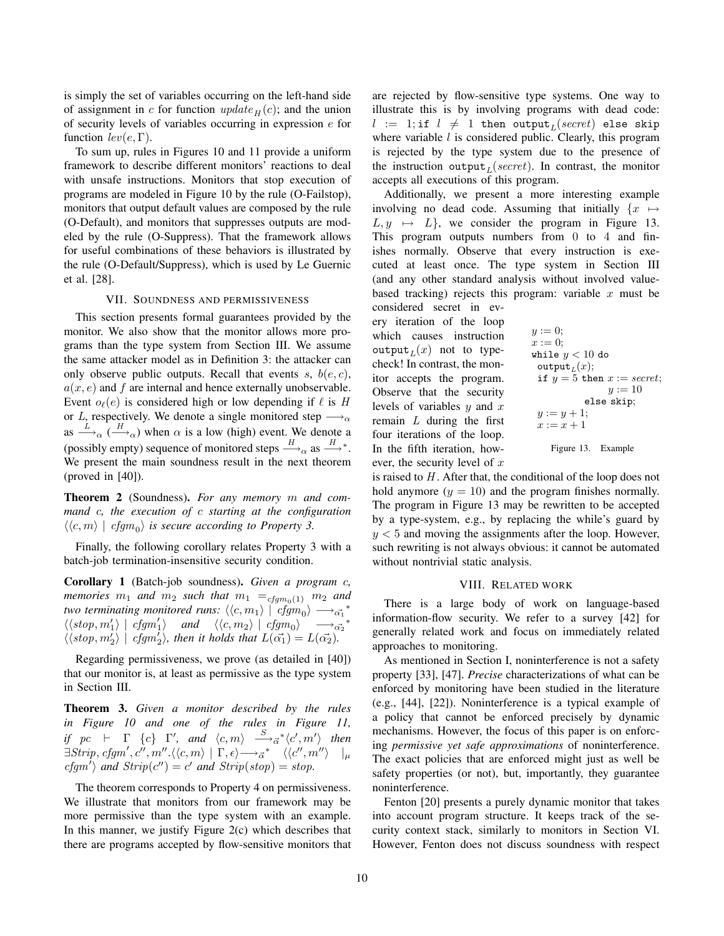is simply the set of variables occurring on the left-hand side of assignment in c for function  $update_H (c)$ ; and the union of security levels of variables occurring in expression e for function  $lev(e, \Gamma)$ .

To sum up, rules in Figures 10 and 11 provide a uniform framework to describe different monitors' reactions to deal with unsafe instructions. Monitors that stop execution of programs are modeled in Figure 10 by the rule (O-Failstop), monitors that output default values are composed by the rule (O-Default), and monitors that suppresses outputs are modeled by the rule (O-Suppress). That the framework allows for useful combinations of these behaviors is illustrated by the rule (O-Default/Suppress), which is used by Le Guernic et al. [28].

## VII. SOUNDNESS AND PERMISSIVENESS

This section presents formal guarantees provided by the monitor. We also show that the monitor allows more programs than the type system from Section III. We assume the same attacker model as in Definition 3: the attacker can only observe public outputs. Recall that events s,  $b(e, c)$ ,  $a(x, e)$  and f are internal and hence externally unobservable. Event  $o_{\ell}(e)$  is considered high or low depending if  $\ell$  is H or L, respectively. We denote a single monitored step  $\longrightarrow_{\alpha}$ as  $\xrightarrow{L}_{\alpha}$  ( $\xrightarrow{H}_{\alpha}$ ) when  $\alpha$  is a low (high) event. We denote a (possibly empty) sequence of monitored steps  $\stackrel{H}{\longrightarrow}_\alpha$  as  $\stackrel{H}{\longrightarrow}^*$ . We present the main soundness result in the next theorem (proved in [40]).

Theorem 2 (Soundness). *For any memory* m *and command* c*, the execution of* c *starting at the configuration*  $\langle\langle c,m\rangle | cfgm_0\rangle$  *is secure according to Property 3.* 

Finally, the following corollary relates Property 3 with a batch-job termination-insensitive security condition.

Corollary 1 (Batch-job soundness). *Given a program* c*,*  $m$ emories  $m_1$  and  $m_2$  such that  $m_1$   $\equiv_{cfgm_0(1)}$   $m_2$  and *two terminating monitored runs:*  $\langle\langle c,m_1\rangle | [cfgm_0\rangle \longrightarrow_{\vec{\alpha_1}}^*$  $\langle \langle stop, m_1' \rangle | cfgm_1' \rangle$  and  $\langle \langle c, m_2 \rangle | cfgm_0 \rangle$   $\longrightarrow_{\alpha_2^*}^*$  $\langle \langle stop, m_2' \rangle | cfgm_2' \rangle$ , then it holds that  $L(\vec{\alpha_1}) = L(\vec{\alpha_2})$ .

Regarding permissiveness, we prove (as detailed in [40]) that our monitor is, at least as permissive as the type system in Section III.

Theorem 3. *Given a monitor described by the rules in Figure 10 and one of the rules in Figure 11, if*  $pc$   $\vdash$   $\Gamma$   $\{c\}$   $\Gamma'$ , and  $\langle c, m \rangle$   $\overset{S}{\longrightarrow}_{\vec{\alpha}}^* \langle c', m' \rangle$  then  $\exists \textit{String}, \textit{cfgm}', \textit{c}'', \textit{m}'''. \langle \langle \textit{c}, \textit{m} \rangle \; | \; \Gamma, \epsilon \rangle \!\! \longrightarrow_{\vec{\alpha}}^* \; \; \langle \langle \textit{c}'', \textit{m}'' \rangle \; \; |_{\mu}$  $cfgm'$  and  $Strip(c'') = c'$  and  $Strip(stop) = stop$ .

The theorem corresponds to Property 4 on permissiveness. We illustrate that monitors from our framework may be more permissive than the type system with an example. In this manner, we justify Figure  $2(c)$  which describes that there are programs accepted by flow-sensitive monitors that are rejected by flow-sensitive type systems. One way to illustrate this is by involving programs with dead code:  $l$  := 1;if  $l$   $\neq$  1 then output $_L (secret)$  else skip where variable  $l$  is considered public. Clearly, this program is rejected by the type system due to the presence of the instruction output<sub>L</sub>(secret). In contrast, the monitor accepts all executions of this program.

Additionally, we present a more interesting example involving no dead code. Assuming that initially  $\{x \mapsto$  $L, y \mapsto L$ , we consider the program in Figure 13. This program outputs numbers from 0 to 4 and finishes normally. Observe that every instruction is executed at least once. The type system in Section III (and any other standard analysis without involved valuebased tracking) rejects this program: variable  $x$  must be considered secret in ev-

ery iteration of the loop which causes instruction  $\texttt{output}_L(x)$  not to typecheck! In contrast, the monitor accepts the program. Observe that the security levels of variables  $y$  and  $x$ remain  $L$  during the first four iterations of the loop. In the fifth iteration, however, the security level of  $x$ 

$$
y := 0;
$$
  
\n
$$
x := 0;
$$
  
\nwhile  $y < 10$  do  
\noutput<sub>L</sub>(x);  
\nif  $y = 5$  then  $x := secret;$   
\n $y := 10$   
\nelse skip;  
\n $x := x + 1$ 

Figure 13. Example

is raised to  $H$ . After that, the conditional of the loop does not hold anymore  $(y = 10)$  and the program finishes normally. The program in Figure 13 may be rewritten to be accepted by a type-system, e.g., by replacing the while's guard by  $y < 5$  and moving the assignments after the loop. However, such rewriting is not always obvious: it cannot be automated without nontrivial static analysis.

## VIII. RELATED WORK

There is a large body of work on language-based information-flow security. We refer to a survey [42] for generally related work and focus on immediately related approaches to monitoring.

As mentioned in Section I, noninterference is not a safety property [33], [47]. *Precise* characterizations of what can be enforced by monitoring have been studied in the literature (e.g., [44], [22]). Noninterference is a typical example of a policy that cannot be enforced precisely by dynamic mechanisms. However, the focus of this paper is on enforcing *permissive yet safe approximations* of noninterference. The exact policies that are enforced might just as well be safety properties (or not), but, importantly, they guarantee noninterference.

Fenton [20] presents a purely dynamic monitor that takes into account program structure. It keeps track of the security context stack, similarly to monitors in Section VI. However, Fenton does not discuss soundness with respect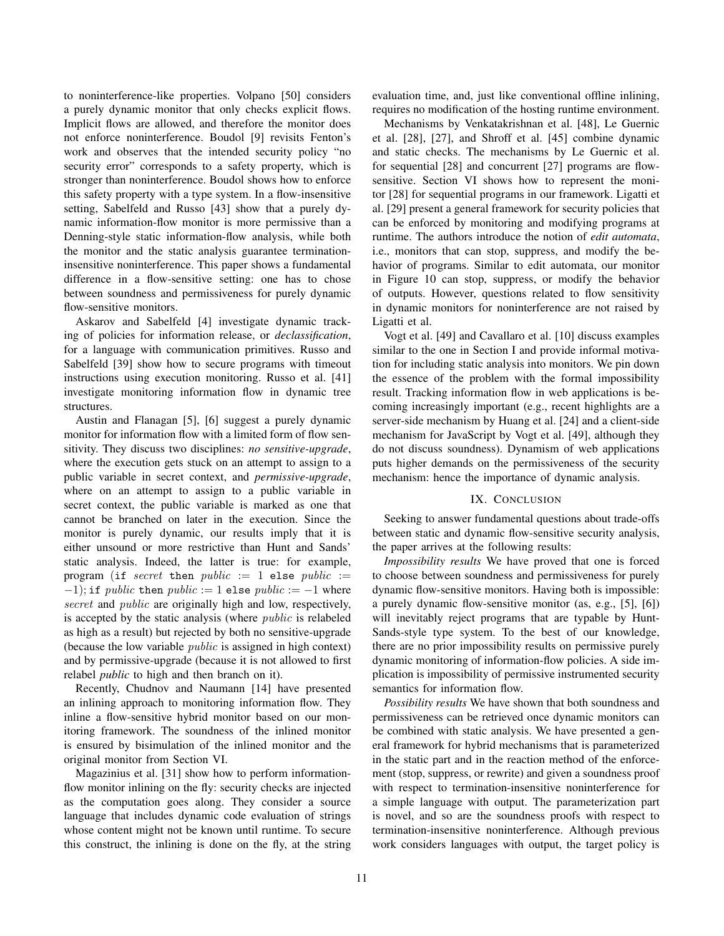to noninterference-like properties. Volpano [50] considers a purely dynamic monitor that only checks explicit flows. Implicit flows are allowed, and therefore the monitor does not enforce noninterference. Boudol [9] revisits Fenton's work and observes that the intended security policy "no security error" corresponds to a safety property, which is stronger than noninterference. Boudol shows how to enforce this safety property with a type system. In a flow-insensitive setting, Sabelfeld and Russo [43] show that a purely dynamic information-flow monitor is more permissive than a Denning-style static information-flow analysis, while both the monitor and the static analysis guarantee terminationinsensitive noninterference. This paper shows a fundamental difference in a flow-sensitive setting: one has to chose between soundness and permissiveness for purely dynamic flow-sensitive monitors.

Askarov and Sabelfeld [4] investigate dynamic tracking of policies for information release, or *declassification*, for a language with communication primitives. Russo and Sabelfeld [39] show how to secure programs with timeout instructions using execution monitoring. Russo et al. [41] investigate monitoring information flow in dynamic tree structures.

Austin and Flanagan [5], [6] suggest a purely dynamic monitor for information flow with a limited form of flow sensitivity. They discuss two disciplines: *no sensitive-upgrade*, where the execution gets stuck on an attempt to assign to a public variable in secret context, and *permissive-upgrade*, where on an attempt to assign to a public variable in secret context, the public variable is marked as one that cannot be branched on later in the execution. Since the monitor is purely dynamic, our results imply that it is either unsound or more restrictive than Hunt and Sands' static analysis. Indeed, the latter is true: for example, program (if secret then  $public := 1$  else  $public :=$  $(-1)$ ; if *public* then *public* := 1 else *public* :=  $-1$  where secret and *public* are originally high and low, respectively, is accepted by the static analysis (where public is relabeled as high as a result) but rejected by both no sensitive-upgrade (because the low variable  $public$  is assigned in high context) and by permissive-upgrade (because it is not allowed to first relabel *public* to high and then branch on it).

Recently, Chudnov and Naumann [14] have presented an inlining approach to monitoring information flow. They inline a flow-sensitive hybrid monitor based on our monitoring framework. The soundness of the inlined monitor is ensured by bisimulation of the inlined monitor and the original monitor from Section VI.

Magazinius et al. [31] show how to perform informationflow monitor inlining on the fly: security checks are injected as the computation goes along. They consider a source language that includes dynamic code evaluation of strings whose content might not be known until runtime. To secure this construct, the inlining is done on the fly, at the string evaluation time, and, just like conventional offline inlining, requires no modification of the hosting runtime environment.

Mechanisms by Venkatakrishnan et al. [48], Le Guernic et al. [28], [27], and Shroff et al. [45] combine dynamic and static checks. The mechanisms by Le Guernic et al. for sequential [28] and concurrent [27] programs are flowsensitive. Section VI shows how to represent the monitor [28] for sequential programs in our framework. Ligatti et al. [29] present a general framework for security policies that can be enforced by monitoring and modifying programs at runtime. The authors introduce the notion of *edit automata*, i.e., monitors that can stop, suppress, and modify the behavior of programs. Similar to edit automata, our monitor in Figure 10 can stop, suppress, or modify the behavior of outputs. However, questions related to flow sensitivity in dynamic monitors for noninterference are not raised by Ligatti et al.

Vogt et al. [49] and Cavallaro et al. [10] discuss examples similar to the one in Section I and provide informal motivation for including static analysis into monitors. We pin down the essence of the problem with the formal impossibility result. Tracking information flow in web applications is becoming increasingly important (e.g., recent highlights are a server-side mechanism by Huang et al. [24] and a client-side mechanism for JavaScript by Vogt et al. [49], although they do not discuss soundness). Dynamism of web applications puts higher demands on the permissiveness of the security mechanism: hence the importance of dynamic analysis.

## IX. CONCLUSION

Seeking to answer fundamental questions about trade-offs between static and dynamic flow-sensitive security analysis, the paper arrives at the following results:

*Impossibility results* We have proved that one is forced to choose between soundness and permissiveness for purely dynamic flow-sensitive monitors. Having both is impossible: a purely dynamic flow-sensitive monitor (as, e.g., [5], [6]) will inevitably reject programs that are typable by Hunt-Sands-style type system. To the best of our knowledge, there are no prior impossibility results on permissive purely dynamic monitoring of information-flow policies. A side implication is impossibility of permissive instrumented security semantics for information flow.

*Possibility results* We have shown that both soundness and permissiveness can be retrieved once dynamic monitors can be combined with static analysis. We have presented a general framework for hybrid mechanisms that is parameterized in the static part and in the reaction method of the enforcement (stop, suppress, or rewrite) and given a soundness proof with respect to termination-insensitive noninterference for a simple language with output. The parameterization part is novel, and so are the soundness proofs with respect to termination-insensitive noninterference. Although previous work considers languages with output, the target policy is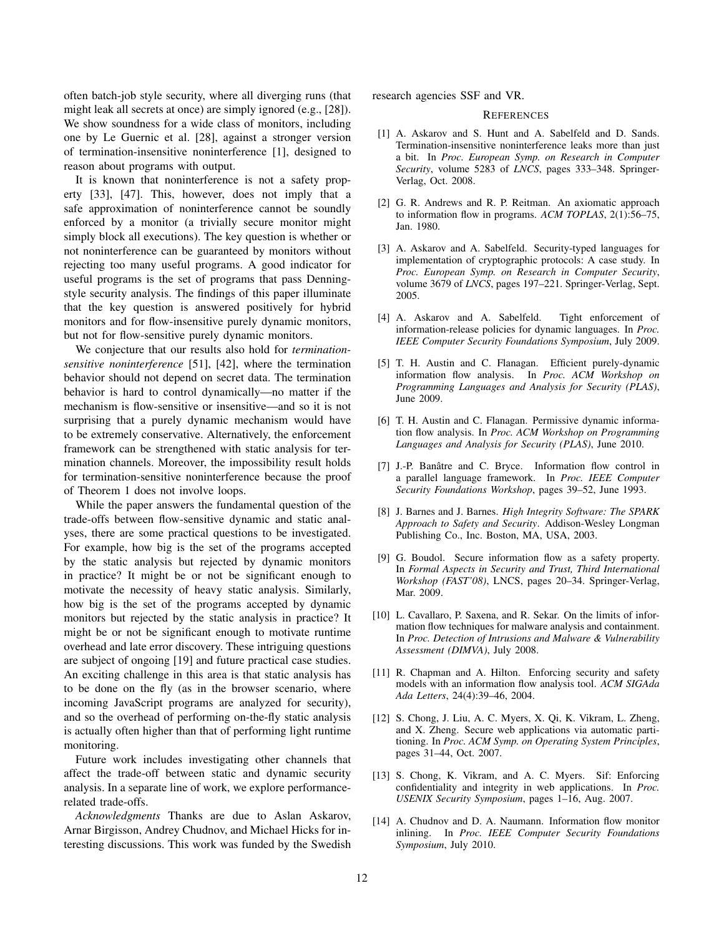often batch-job style security, where all diverging runs (that might leak all secrets at once) are simply ignored (e.g., [28]). We show soundness for a wide class of monitors, including one by Le Guernic et al. [28], against a stronger version of termination-insensitive noninterference [1], designed to reason about programs with output.

It is known that noninterference is not a safety property [33], [47]. This, however, does not imply that a safe approximation of noninterference cannot be soundly enforced by a monitor (a trivially secure monitor might simply block all executions). The key question is whether or not noninterference can be guaranteed by monitors without rejecting too many useful programs. A good indicator for useful programs is the set of programs that pass Denningstyle security analysis. The findings of this paper illuminate that the key question is answered positively for hybrid monitors and for flow-insensitive purely dynamic monitors, but not for flow-sensitive purely dynamic monitors.

We conjecture that our results also hold for *terminationsensitive noninterference* [51], [42], where the termination behavior should not depend on secret data. The termination behavior is hard to control dynamically—no matter if the mechanism is flow-sensitive or insensitive—and so it is not surprising that a purely dynamic mechanism would have to be extremely conservative. Alternatively, the enforcement framework can be strengthened with static analysis for termination channels. Moreover, the impossibility result holds for termination-sensitive noninterference because the proof of Theorem 1 does not involve loops.

While the paper answers the fundamental question of the trade-offs between flow-sensitive dynamic and static analyses, there are some practical questions to be investigated. For example, how big is the set of the programs accepted by the static analysis but rejected by dynamic monitors in practice? It might be or not be significant enough to motivate the necessity of heavy static analysis. Similarly, how big is the set of the programs accepted by dynamic monitors but rejected by the static analysis in practice? It might be or not be significant enough to motivate runtime overhead and late error discovery. These intriguing questions are subject of ongoing [19] and future practical case studies. An exciting challenge in this area is that static analysis has to be done on the fly (as in the browser scenario, where incoming JavaScript programs are analyzed for security), and so the overhead of performing on-the-fly static analysis is actually often higher than that of performing light runtime monitoring.

Future work includes investigating other channels that affect the trade-off between static and dynamic security analysis. In a separate line of work, we explore performancerelated trade-offs.

*Acknowledgments* Thanks are due to Aslan Askarov, Arnar Birgisson, Andrey Chudnov, and Michael Hicks for interesting discussions. This work was funded by the Swedish research agencies SSF and VR.

## **REFERENCES**

- [1] A. Askarov and S. Hunt and A. Sabelfeld and D. Sands. Termination-insensitive noninterference leaks more than just a bit. In *Proc. European Symp. on Research in Computer Security*, volume 5283 of *LNCS*, pages 333–348. Springer-Verlag, Oct. 2008.
- [2] G. R. Andrews and R. P. Reitman. An axiomatic approach to information flow in programs. *ACM TOPLAS*, 2(1):56–75, Jan. 1980.
- [3] A. Askarov and A. Sabelfeld. Security-typed languages for implementation of cryptographic protocols: A case study. In *Proc. European Symp. on Research in Computer Security*, volume 3679 of *LNCS*, pages 197–221. Springer-Verlag, Sept. 2005.
- [4] A. Askarov and A. Sabelfeld. Tight enforcement of information-release policies for dynamic languages. In *Proc. IEEE Computer Security Foundations Symposium*, July 2009.
- [5] T. H. Austin and C. Flanagan. Efficient purely-dynamic information flow analysis. In *Proc. ACM Workshop on Programming Languages and Analysis for Security (PLAS)*, June 2009.
- [6] T. H. Austin and C. Flanagan. Permissive dynamic information flow analysis. In *Proc. ACM Workshop on Programming Languages and Analysis for Security (PLAS)*, June 2010.
- [7] J.-P. Banâtre and C. Bryce. Information flow control in a parallel language framework. In *Proc. IEEE Computer Security Foundations Workshop*, pages 39–52, June 1993.
- [8] J. Barnes and J. Barnes. *High Integrity Software: The SPARK Approach to Safety and Security*. Addison-Wesley Longman Publishing Co., Inc. Boston, MA, USA, 2003.
- [9] G. Boudol. Secure information flow as a safety property. In *Formal Aspects in Security and Trust, Third International Workshop (FAST'08)*, LNCS, pages 20–34. Springer-Verlag, Mar. 2009.
- [10] L. Cavallaro, P. Saxena, and R. Sekar. On the limits of information flow techniques for malware analysis and containment. In *Proc. Detection of Intrusions and Malware & Vulnerability Assessment (DIMVA)*, July 2008.
- [11] R. Chapman and A. Hilton. Enforcing security and safety models with an information flow analysis tool. *ACM SIGAda Ada Letters*, 24(4):39–46, 2004.
- [12] S. Chong, J. Liu, A. C. Myers, X. Qi, K. Vikram, L. Zheng, and X. Zheng. Secure web applications via automatic partitioning. In *Proc. ACM Symp. on Operating System Principles*, pages 31–44, Oct. 2007.
- [13] S. Chong, K. Vikram, and A. C. Myers. Sif: Enforcing confidentiality and integrity in web applications. In *Proc. USENIX Security Symposium*, pages 1–16, Aug. 2007.
- [14] A. Chudnov and D. A. Naumann. Information flow monitor inlining. In *Proc. IEEE Computer Security Foundations Symposium*, July 2010.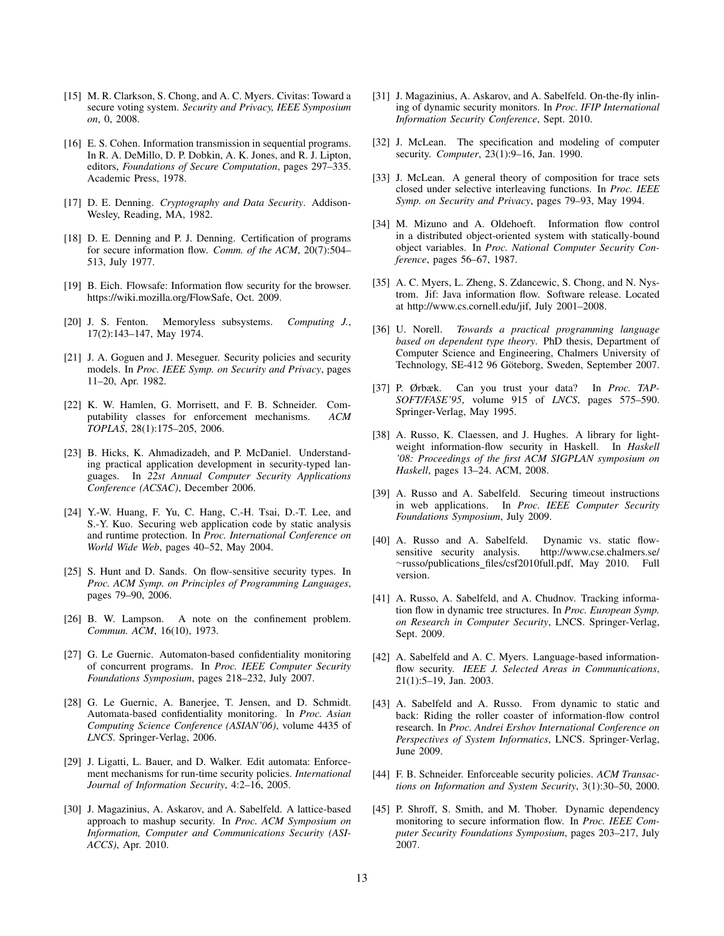- [15] M. R. Clarkson, S. Chong, and A. C. Myers. Civitas: Toward a secure voting system. *Security and Privacy, IEEE Symposium on*, 0, 2008.
- [16] E. S. Cohen. Information transmission in sequential programs. In R. A. DeMillo, D. P. Dobkin, A. K. Jones, and R. J. Lipton, editors, *Foundations of Secure Computation*, pages 297–335. Academic Press, 1978.
- [17] D. E. Denning. *Cryptography and Data Security*. Addison-Wesley, Reading, MA, 1982.
- [18] D. E. Denning and P. J. Denning. Certification of programs for secure information flow. *Comm. of the ACM*, 20(7):504– 513, July 1977.
- [19] B. Eich. Flowsafe: Information flow security for the browser. https://wiki.mozilla.org/FlowSafe, Oct. 2009.
- [20] J. S. Fenton. Memoryless subsystems. *Computing J.*, 17(2):143–147, May 1974.
- [21] J. A. Goguen and J. Meseguer. Security policies and security models. In *Proc. IEEE Symp. on Security and Privacy*, pages 11–20, Apr. 1982.
- [22] K. W. Hamlen, G. Morrisett, and F. B. Schneider. Computability classes for enforcement mechanisms. *ACM TOPLAS*, 28(1):175–205, 2006.
- [23] B. Hicks, K. Ahmadizadeh, and P. McDaniel. Understanding practical application development in security-typed languages. In *22st Annual Computer Security Applications Conference (ACSAC)*, December 2006.
- [24] Y.-W. Huang, F. Yu, C. Hang, C.-H. Tsai, D.-T. Lee, and S.-Y. Kuo. Securing web application code by static analysis and runtime protection. In *Proc. International Conference on World Wide Web*, pages 40–52, May 2004.
- [25] S. Hunt and D. Sands. On flow-sensitive security types. In *Proc. ACM Symp. on Principles of Programming Languages*, pages 79–90, 2006.
- [26] B. W. Lampson. A note on the confinement problem. *Commun. ACM*, 16(10), 1973.
- [27] G. Le Guernic. Automaton-based confidentiality monitoring of concurrent programs. In *Proc. IEEE Computer Security Foundations Symposium*, pages 218–232, July 2007.
- [28] G. Le Guernic, A. Banerjee, T. Jensen, and D. Schmidt. Automata-based confidentiality monitoring. In *Proc. Asian Computing Science Conference (ASIAN'06)*, volume 4435 of *LNCS*. Springer-Verlag, 2006.
- [29] J. Ligatti, L. Bauer, and D. Walker. Edit automata: Enforcement mechanisms for run-time security policies. *International Journal of Information Security*, 4:2–16, 2005.
- [30] J. Magazinius, A. Askarov, and A. Sabelfeld. A lattice-based approach to mashup security. In *Proc. ACM Symposium on Information, Computer and Communications Security (ASI-ACCS)*, Apr. 2010.
- [31] J. Magazinius, A. Askarov, and A. Sabelfeld. On-the-fly inlining of dynamic security monitors. In *Proc. IFIP International Information Security Conference*, Sept. 2010.
- [32] J. McLean. The specification and modeling of computer security. *Computer*, 23(1):9–16, Jan. 1990.
- [33] J. McLean. A general theory of composition for trace sets closed under selective interleaving functions. In *Proc. IEEE Symp. on Security and Privacy*, pages 79–93, May 1994.
- [34] M. Mizuno and A. Oldehoeft. Information flow control in a distributed object-oriented system with statically-bound object variables. In *Proc. National Computer Security Conference*, pages 56–67, 1987.
- [35] A. C. Myers, L. Zheng, S. Zdancewic, S. Chong, and N. Nystrom. Jif: Java information flow. Software release. Located at http://www.cs.cornell.edu/jif, July 2001–2008.
- [36] U. Norell. *Towards a practical programming language based on dependent type theory*. PhD thesis, Department of Computer Science and Engineering, Chalmers University of Technology, SE-412 96 Göteborg, Sweden, September 2007.
- [37] P. Ørbæk. Can you trust your data? In *Proc. TAP-SOFT/FASE'95*, volume 915 of *LNCS*, pages 575–590. Springer-Verlag, May 1995.
- [38] A. Russo, K. Claessen, and J. Hughes. A library for lightweight information-flow security in Haskell. In *Haskell '08: Proceedings of the first ACM SIGPLAN symposium on Haskell*, pages 13–24. ACM, 2008.
- [39] A. Russo and A. Sabelfeld. Securing timeout instructions in web applications. In *Proc. IEEE Computer Security Foundations Symposium*, July 2009.
- [40] A. Russo and A. Sabelfeld. Dynamic vs. static flowsensitive security analysis. http://www.cse.chalmers.se/ <sup>∼</sup>russo/publications files/csf2010full.pdf, May 2010. Full version.
- [41] A. Russo, A. Sabelfeld, and A. Chudnov. Tracking information flow in dynamic tree structures. In *Proc. European Symp. on Research in Computer Security*, LNCS. Springer-Verlag, Sept. 2009.
- [42] A. Sabelfeld and A. C. Myers. Language-based informationflow security. *IEEE J. Selected Areas in Communications*, 21(1):5–19, Jan. 2003.
- [43] A. Sabelfeld and A. Russo. From dynamic to static and back: Riding the roller coaster of information-flow control research. In *Proc. Andrei Ershov International Conference on Perspectives of System Informatics*, LNCS. Springer-Verlag, June 2009.
- [44] F. B. Schneider. Enforceable security policies. *ACM Transactions on Information and System Security*, 3(1):30–50, 2000.
- [45] P. Shroff, S. Smith, and M. Thober. Dynamic dependency monitoring to secure information flow. In *Proc. IEEE Computer Security Foundations Symposium*, pages 203–217, July 2007.